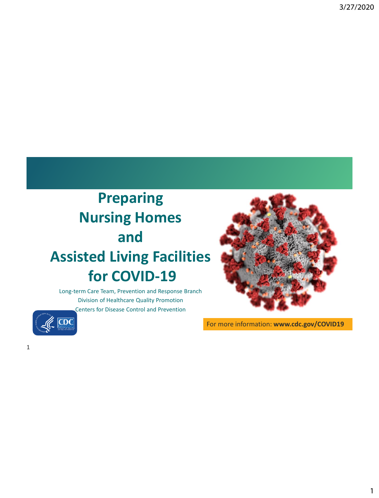# **Preparing Nursing Homes and Assisted Living Facilities for COVID-19**

Long-term Care Team, Prevention and Response Branch Division of Healthcare Quality Promotion Centers for Disease Control and Prevention



For more information: **www.cdc.gov/COVID19**



1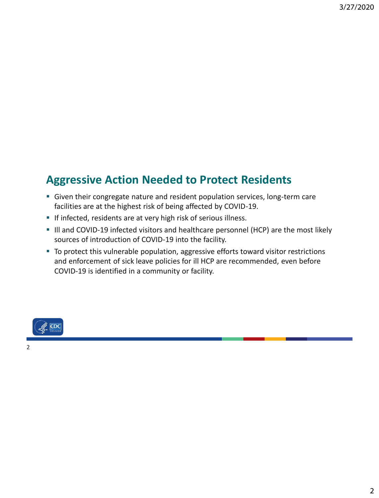#### **Aggressive Action Needed to Protect Residents**

- **EX Given their congregate nature and resident population services, long-term care** facilities are at the highest risk of being affected by COVID-19.
- **.** If infected, residents are at very high risk of serious illness.
- Ill and COVID-19 infected visitors and healthcare personnel (HCP) are the most likely sources of introduction of COVID-19 into the facility.
- To protect this vulnerable population, aggressive efforts toward visitor restrictions and enforcement of sick leave policies for ill HCP are recommended, even before COVID-19 is identified in a community or facility.

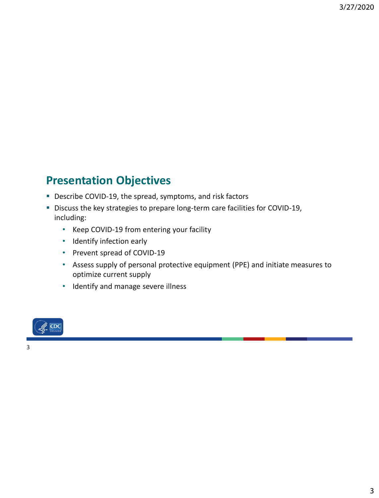#### **Presentation Objectives**

- Describe COVID-19, the spread, symptoms, and risk factors
- Discuss the key strategies to prepare long-term care facilities for COVID-19, including:
	- Keep COVID-19 from entering your facility
	- Identify infection early
	- Prevent spread of COVID-19
	- Assess supply of personal protective equipment (PPE) and initiate measures to optimize current supply
	- Identify and manage severe illness

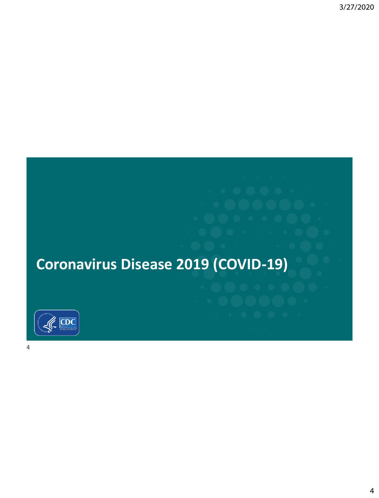

4

**Coronavirus Disease 2019 (COVID-19)**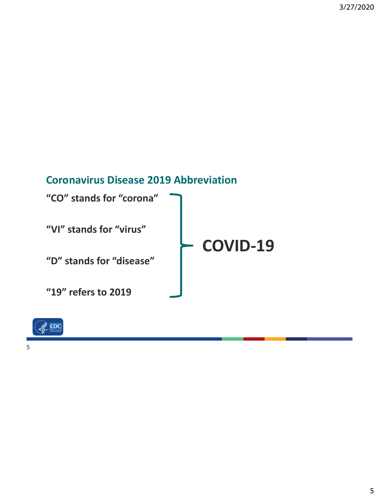#### **Coronavirus Disease 2019 Abbreviation**

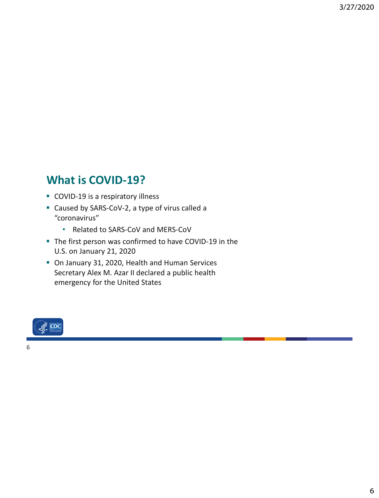#### **What is COVID-19?**

- COVID-19 is a respiratory illness
- Caused by SARS-CoV-2, a type of virus called a "coronavirus"
	- Related to SARS-CoV and MERS-CoV
- The first person was confirmed to have COVID-19 in the U.S. on January 21, 2020
- On January 31, 2020, Health and Human Services Secretary Alex M. Azar II declared a public health emergency for the United States

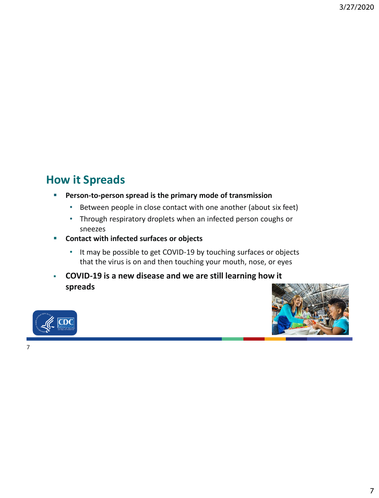#### **How it Spreads**

#### ▪ **Person-to-person spread is the primary mode of transmission**

- Between people in close contact with one another (about six feet)
- Through respiratory droplets when an infected person coughs or sneezes
- **Contact with infected surfaces or objects**
	- It may be possible to get COVID-19 by touching surfaces or objects that the virus is on and then touching your mouth, nose, or eyes
- **COVID-19 is a new disease and we are still learning how it spreads**



7

ЮC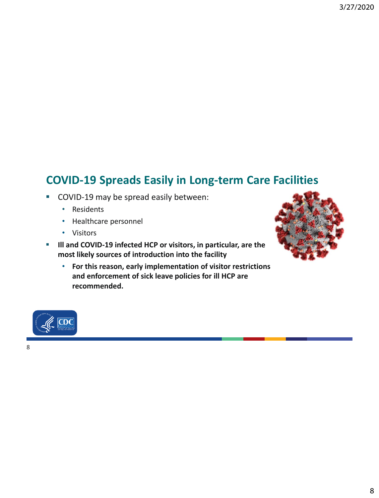#### **COVID-19 Spreads Easily in Long-term Care Facilities**

- COVID-19 may be spread easily between:
	- Residents
	- Healthcare personnel
	- Visitors
- **Ill and COVID-19 infected HCP or visitors, in particular, are the most likely sources of introduction into the facility**
	- **For this reason, early implementation of visitor restrictions and enforcement of sick leave policies for ill HCP are recommended.**



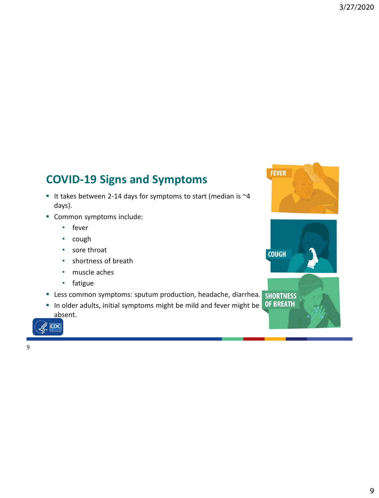#### **COVID-19 Signs and Symptoms**

- It takes between 2-14 days for symptoms to start (median is  $\sim$ 4 days).
- Common symptoms include:
	- fever
	- cough
	- sore throat
	- shortness of breath
	- muscle aches
	- fatigue
- **E** Less common symptoms: sputum production, headache, diarrhea.
- $\blacksquare$  In older adults, initial symptoms might be mild and fever might be absent.





 $\mathscr{K}$  CDC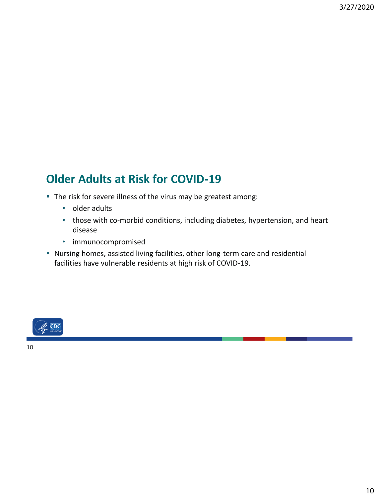#### **Older Adults at Risk for COVID-19**

- The risk for severe illness of the virus may be greatest among:
	- older adults
	- those with co-morbid conditions, including diabetes, hypertension, and heart disease
	- immunocompromised
- Nursing homes, assisted living facilities, other long-term care and residential facilities have vulnerable residents at high risk of COVID-19.

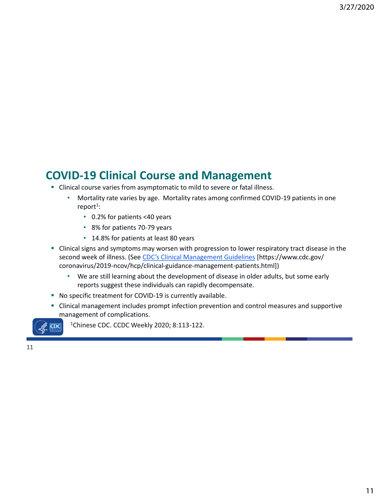#### **COVID-19 Clinical Course and Management**

- Clinical course varies from asymptomatic to mild to severe or fatal illness.
	- Mortality rate varies by age. Mortality rates among confirmed COVID-19 patients in one report<sup>1</sup>:
		- 0.2% for patients <40 years
		- 8% for patients 70-79 years
		- 14.8% for patients at least 80 years
- **EXTENDITY Clinical signs and symptoms may worsen with progression to lower respiratory tract disease in the** second week of illness. (See [CDC's Clinical Management Guidelines](https://www.cdc.gov/coronavirus/2019-ncov/hcp/clinical-guidance-management-patients.html) [https://www.cdc.gov/ coronavirus/2019-ncov/hcp/clinical-guidance-management-patients.html])
	- We are still learning about the development of disease in older adults, but some early reports suggest these individuals can rapidly decompensate.
- No specific treatment for COVID-19 is currently available.
- **EXTENDING IN A LOCAL MANGE IN A LOCAL MANGE IN A LOCAL MANGE IN A LOCAL MANGE IN A LOCAL MANGE IN A LOCAL MANGE IN A LOCAL MANGE IN A LOCAL MANGE IN A LOCAL MANGE IN A LOCAL MANGE IN A LOCAL MANGE IN A LOCAL MANGE IN A LO** management of complications.

 $CDC$ 

<sup>1</sup>Chinese CDC. CCDC Weekly 2020; 8:113-122.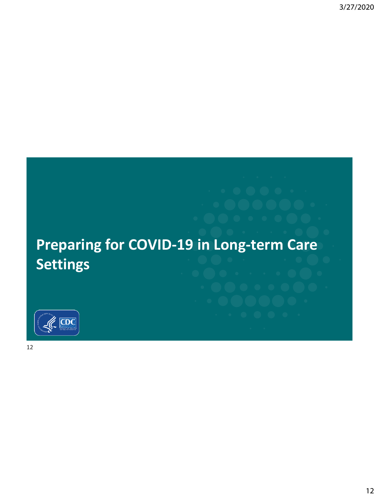# **Preparing for COVID-19 in Long-term Care Settings**

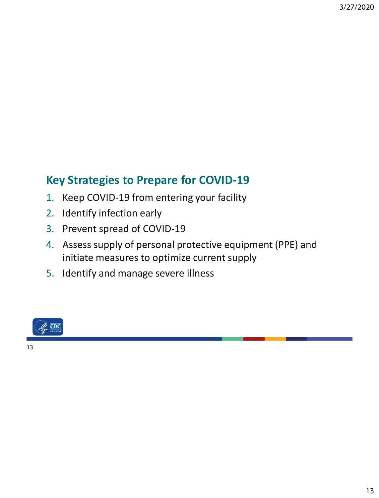#### **Key Strategies to Prepare for COVID-19**

- 1. Keep COVID-19 from entering your facility
- 2. Identify infection early
- 3. Prevent spread of COVID-19
- 4. Assess supply of personal protective equipment (PPE) and initiate measures to optimize current supply
- 5. Identify and manage severe illness

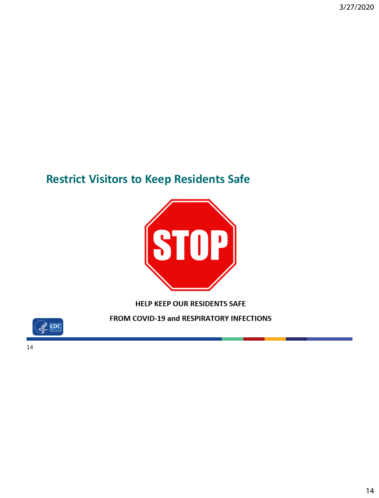#### **Restrict Visitors to Keep Residents Safe**



**HELP KEEP OUR RESIDENTS SAFE** 

FROM COVID-19 and RESPIRATORY INFECTIONS

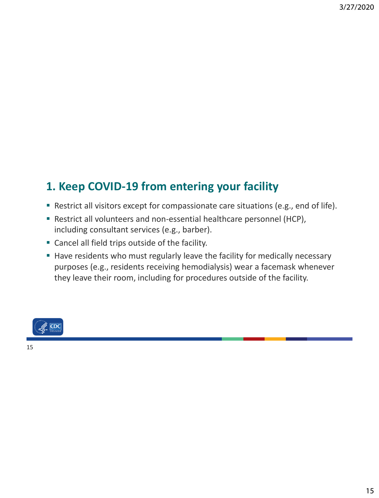## **1. Keep COVID-19 from entering your facility**

- Restrict all visitors except for compassionate care situations (e.g., end of life).
- Restrict all volunteers and non-essential healthcare personnel (HCP), including consultant services (e.g., barber).
- Cancel all field trips outside of the facility.
- Have residents who must regularly leave the facility for medically necessary purposes (e.g., residents receiving hemodialysis) wear a facemask whenever they leave their room, including for procedures outside of the facility.

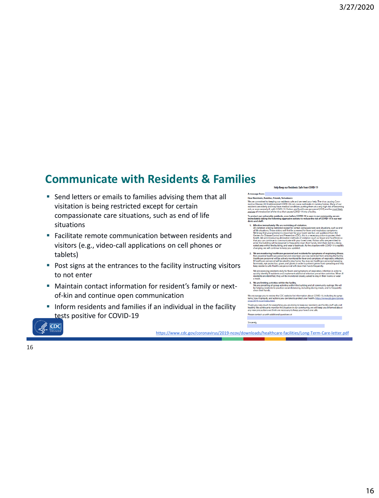#### **Communicate with Residents & Families**

- Send letters or emails to families advising them that all visitation is being restricted except for certain compassionate care situations, such as end of life situations
- Facilitate remote communication between residents and visitors (e.g., video-call applications on cell phones or tablets)
- Post signs at the entrances to the facility instructing visitors to not enter
- Maintain contact information for resident's family or nextof-kin and continue open communication
- **.** Inform residents and families if an individual in the facility tests positive for COVID-19

#### Help Keep our Residents Safe from COVID-19

age from: Dear Residents, Families, Friends, Volunteers:

We are committed to keeping our residents safe<br>navirus Disease 2019 (abbreviated COVID-19) ca mmitted to keeping our residents sare and we need your net<br>isease 2019 (abbreviated COVID-19) can cause outbreaks in n<br>are elderly and may have medical conditions putting them at<br>ren severely ill, with COVID-19. Visitors a m nun<br>m at a '

e covid-<br>Le COVID-19 is seen in<br>tions to reduce the ri

- **Effective imp** i<br>Intel in We are restricting all viritation one but, per gui
- 

ery much for ev Please contact us with additional questions at

 $CDC$ 

<https://www.cdc.gov/coronavirus/2019-ncov/downloads/healthcare-facilities/Long-Term-Care-letter.pdf>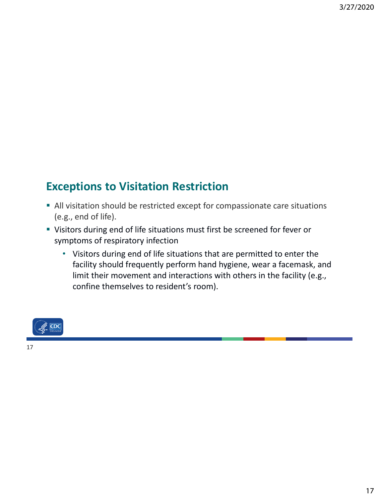#### **Exceptions to Visitation Restriction**

- All visitation should be restricted except for compassionate care situations (e.g., end of life).
- Visitors during end of life situations must first be screened for fever or symptoms of respiratory infection
	- Visitors during end of life situations that are permitted to enter the facility should frequently perform hand hygiene, wear a facemask, and limit their movement and interactions with others in the facility (e.g., confine themselves to resident's room).

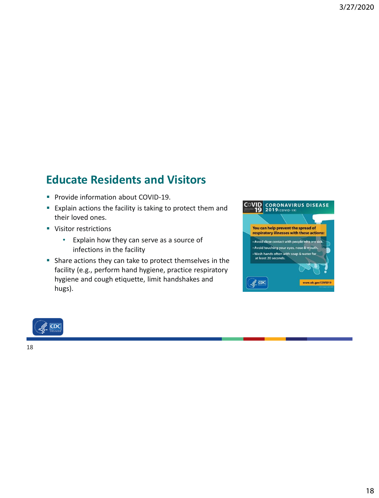#### **Educate Residents and Visitors**

- Provide information about COVID-19.
- **Explain actions the facility is taking to protect them and** their loved ones.
- Visitor restrictions
	- Explain how they can serve as a source of infections in the facility
- Share actions they can take to protect themselves in the facility (e.g., perform hand hygiene, practice respiratory hygiene and cough etiquette, limit handshakes and hugs).



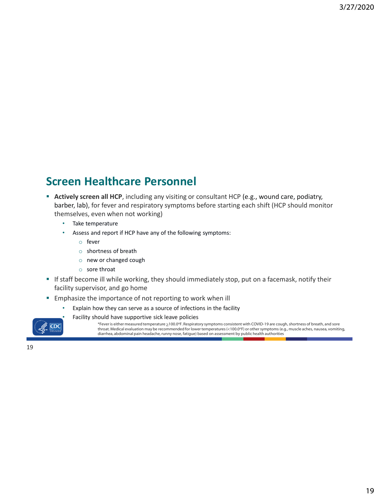#### **Screen Healthcare Personnel**

- **EXECT Actively screen all HCP**, including any visiting or consultant HCP (e.g., wound care, podiatry, barber, lab), for fever and respiratory symptoms before starting each shift (HCP should monitor themselves, even when not working)
	- Take temperature
	- Assess and report if HCP have any of the following symptoms:
		- o fever
		- o shortness of breath
		- o new or changed cough
		- o sore throat
- **.** If staff become ill while working, they should immediately stop, put on a facemask, notify their facility supervisor, and go home
- **Emphasize the importance of not reporting to work when ill** 
	- Explain how they can serve as a source of infections in the facility
		- Facility should have supportive sick leave policies



\*Fever is either measured temperature >100.0<sup>o</sup>F. Respiratory symptoms consistent with COVID-19 are cough, shortness of breath, and sore throat. Medical evaluation may be recommended for lower temperatures (<100.0<sup>o</sup>F) or other symptoms (e.g., muscle aches, nausea, vomiting, diarrhea, abdominal pain headache, runny nose, fatigue) based on assessment by public health authorities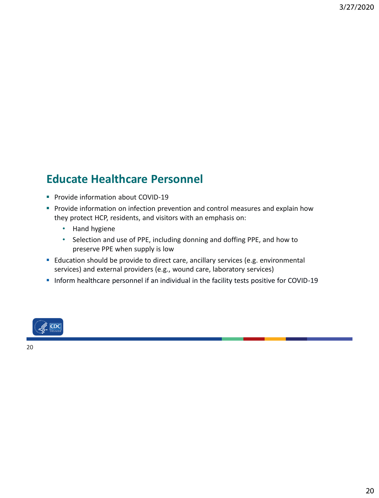#### **Educate Healthcare Personnel**

- **Provide information about COVID-19**
- **Provide information on infection prevention and control measures and explain how** they protect HCP, residents, and visitors with an emphasis on:
	- Hand hygiene
	- Selection and use of PPE, including donning and doffing PPE, and how to preserve PPE when supply is low
- Education should be provide to direct care, ancillary services (e.g. environmental services) and external providers (e.g., wound care, laboratory services)
- Inform healthcare personnel if an individual in the facility tests positive for COVID-19



20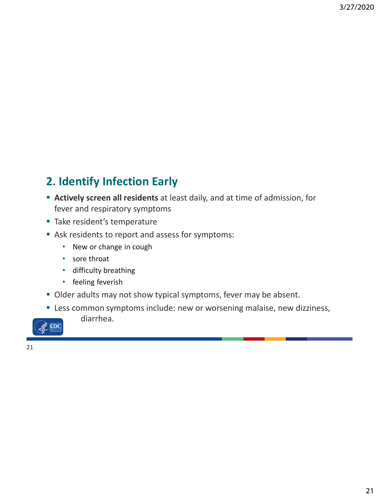## **2. Identify Infection Early**

- **Actively screen all residents** at least daily, and at time of admission, for fever and respiratory symptoms
- Take resident's temperature
- Ask residents to report and assess for symptoms:
	- New or change in cough
	- sore throat
	- difficulty breathing

diarrhea.

- feeling feverish
- **Older adults may not show typical symptoms, fever may be absent.**
- **EXELESS** common symptoms include: new or worsening malaise, new dizziness,

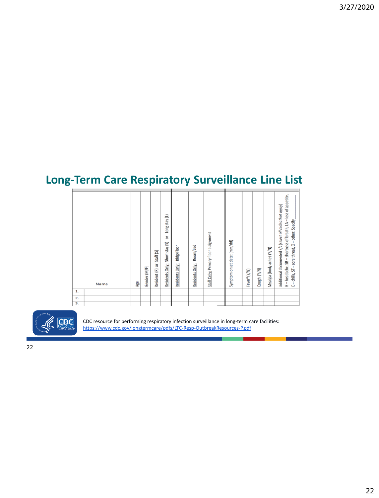## **Long-Term Care Respiratory Surveillance Line List**

| 1. | Name | Age | Gender (M/F) | Staff (S)<br>Resident (R) or | Long stay (L)<br>ă<br>Residents Only: Short stay (S) | Bldg/Floor<br>Residents Only: | Residents Only: Room/Bed | Staff Only: Primary floor assignment | Symptom onset date: (mm/dd) | Fever <sup>8</sup> (Y/N) | Cough (Y/N) | Myalgia (body ache) (Y/N) | H - headache, SB - shortness of breath, LA - loss of appetite,<br>Additional documented s/s (select all codes that apply)<br>C - chills, ST - sore throat, O - other: Specify, |  |
|----|------|-----|--------------|------------------------------|------------------------------------------------------|-------------------------------|--------------------------|--------------------------------------|-----------------------------|--------------------------|-------------|---------------------------|--------------------------------------------------------------------------------------------------------------------------------------------------------------------------------|--|
| 2. |      |     |              |                              |                                                      |                               |                          |                                      |                             |                          |             |                           |                                                                                                                                                                                |  |
| 3. |      |     |              |                              |                                                      |                               |                          |                                      |                             |                          |             |                           |                                                                                                                                                                                |  |
|    |      |     |              |                              |                                                      |                               |                          |                                      |                             |                          |             |                           |                                                                                                                                                                                |  |



CDC resource for performing respiratory infection surveillance in long-term care facilities: <https://www.cdc.gov/longtermcare/pdfs/LTC-Resp-OutbreakResources-P.pdf>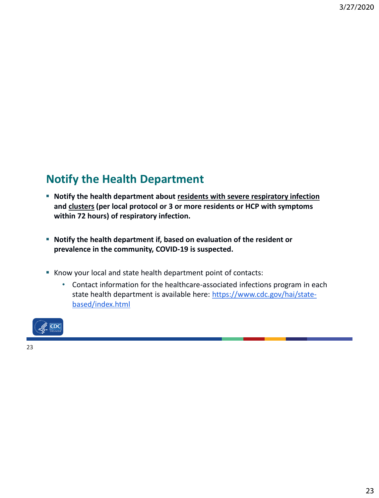#### **Notify the Health Department**

- **EX Notify the health department about residents with severe respiratory infection and clusters (per local protocol or 3 or more residents or HCP with symptoms within 72 hours) of respiratory infection.**
- **Notify the health department if, based on evaluation of the resident or prevalence in the community, COVID-19 is suspected.**
- Know your local and state health department point of contacts:
	- Contact information for the healthcare-associated infections program in each [state health department is available here: https://www.cdc.gov/hai/state](https://www.cdc.gov/hai/state-based/index.html)based/index.html

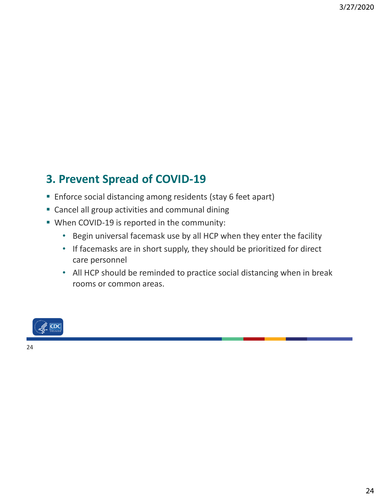## **3. Prevent Spread of COVID-19**

- **Enforce social distancing among residents (stay 6 feet apart)**
- Cancel all group activities and communal dining
- When COVID-19 is reported in the community:
	- Begin universal facemask use by all HCP when they enter the facility
	- If facemasks are in short supply, they should be prioritized for direct care personnel
	- All HCP should be reminded to practice social distancing when in break rooms or common areas.

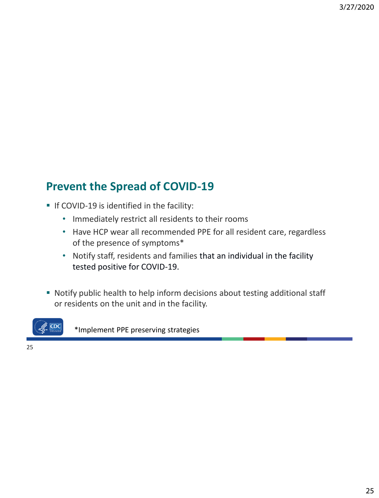#### **Prevent the Spread of COVID-19**

- **.** If COVID-19 is identified in the facility:
	- Immediately restrict all residents to their rooms
	- Have HCP wear all recommended PPE for all resident care, regardless of the presence of symptoms\*
	- Notify staff, residents and families that an individual in the facility tested positive for COVID-19.
- Notify public health to help inform decisions about testing additional staff or residents on the unit and in the facility.



\*Implement PPE preserving strategies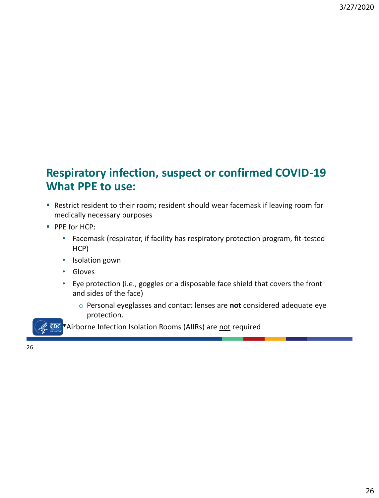#### **Respiratory infection, suspect or confirmed COVID-19 What PPE to use:**

- Restrict resident to their room; resident should wear facemask if leaving room for medically necessary purposes
- PPE for HCP:
	- Facemask (respirator, if facility has respiratory protection program, fit-tested HCP)
	- Isolation gown
	- Gloves
	- Eye protection (i.e., goggles or a disposable face shield that covers the front and sides of the face)
		- o Personal eyeglasses and contact lenses are **not** considered adequate eye protection.

**EDC**\*Airborne Infection Isolation Rooms (AIIRs) are not required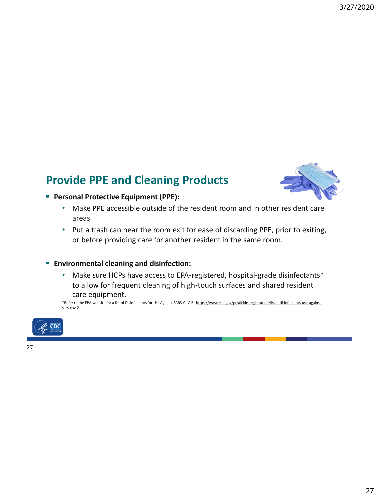#### **Provide PPE and Cleaning Products**



- **Personal Protective Equipment (PPE):**
	- Make PPE accessible outside of the resident room and in other resident care areas
	- Put a trash can near the room exit for ease of discarding PPE, prior to exiting, or before providing care for another resident in the same room.

#### ▪ **Environmental cleaning and disinfection:**

• Make sure HCPs have access to EPA-registered, hospital-grade disinfectants\* to allow for frequent cleaning of high-touch surfaces and shared resident care equipment.

[\\*Refer to the EPA-website for a list of Disinfectants for Use Against SARS-CoV-2: https://www.epa.gov/pesticide-registration/list-n-disinfectants-use-against](https://www.epa.gov/pesticide-registration/list-n-disinfectants-use-against-sars-cov-2)sars-cov-2

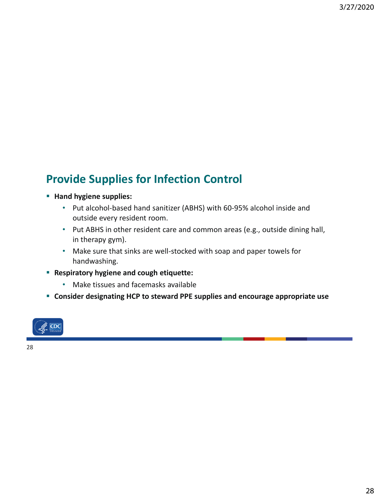#### **Provide Supplies for Infection Control**

#### ▪ **Hand hygiene supplies:**

- Put alcohol-based hand sanitizer (ABHS) with 60-95% alcohol inside and outside every resident room.
- Put ABHS in other resident care and common areas (e.g., outside dining hall, in therapy gym).
- Make sure that sinks are well-stocked with soap and paper towels for handwashing.
- **Respiratory hygiene and cough etiquette:**
	- Make tissues and facemasks available
- **Consider designating HCP to steward PPE supplies and encourage appropriate use**

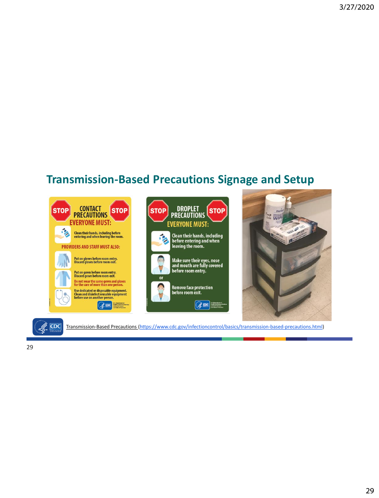#### **Transmission-Based Precautions Signage and Setup**

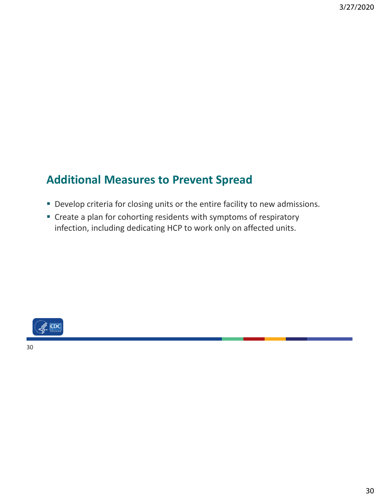#### **Additional Measures to Prevent Spread**

- **Develop criteria for closing units or the entire facility to new admissions.**
- Create a plan for cohorting residents with symptoms of respiratory infection, including dedicating HCP to work only on affected units.



30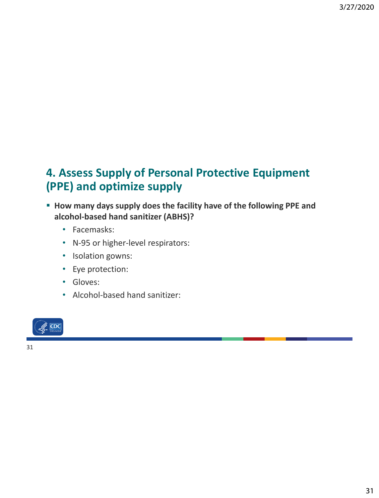#### **4. Assess Supply of Personal Protective Equipment (PPE) and optimize supply**

- **How many days supply does the facility have of the following PPE and alcohol-based hand sanitizer (ABHS)?**
	- Facemasks:
	- N-95 or higher-level respirators:
	- Isolation gowns:
	- Eye protection:
	- Gloves:
	- Alcohol-based hand sanitizer:

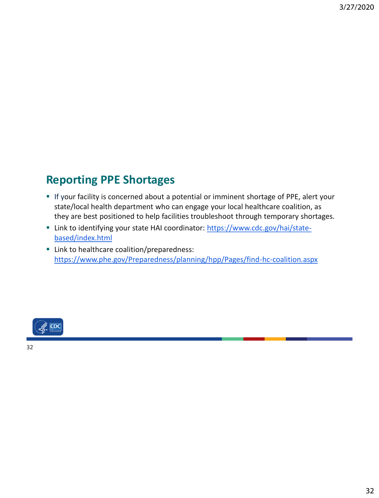#### **Reporting PPE Shortages**

- **EXT** If your facility is concerned about a potential or imminent shortage of PPE, alert your state/local health department who can engage your local healthcare coalition, as they are best positioned to help facilities troubleshoot through temporary shortages.
- [Link to identifying your state HAI coordinator: https://www.cdc.gov/hai/state](https://www.cdc.gov/hai/state-based/index.html)based/index.html
- **E** Link to healthcare coalition/preparedness: <https://www.phe.gov/Preparedness/planning/hpp/Pages/find-hc-coalition.aspx>

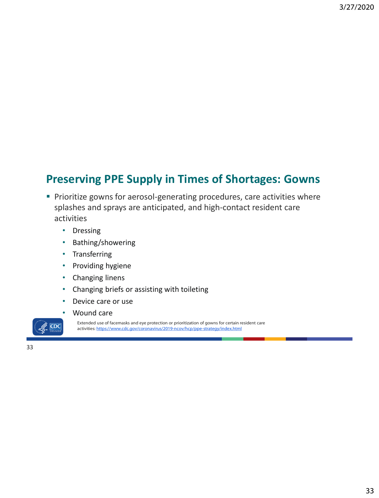#### **Preserving PPE Supply in Times of Shortages: Gowns**

- **Prioritize gowns for aerosol-generating procedures, care activities where** splashes and sprays are anticipated, and high-contact resident care activities
	- Dressing
	- Bathing/showering
	- Transferring
	- Providing hygiene
	- Changing linens
	- Changing briefs or assisting with toileting
	- Device care or use



 $CDC$ 

Extended use of facemasks and eye protection or prioritization of gowns for certain resident care activities: <https://www.cdc.gov/coronavirus/2019-ncov/hcp/ppe-strategy/index.html>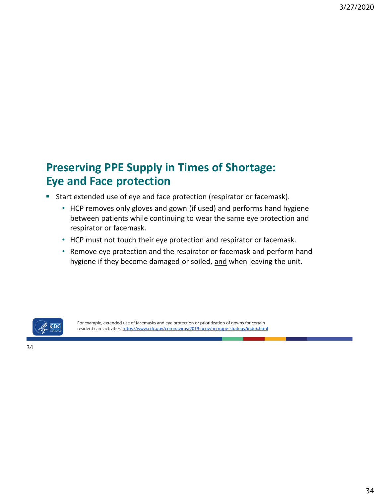#### **Preserving PPE Supply in Times of Shortage: Eye and Face protection**

- Start extended use of eye and face protection (respirator or facemask).
	- HCP removes only gloves and gown (if used) and performs hand hygiene between patients while continuing to wear the same eye protection and respirator or facemask.
	- HCP must not touch their eye protection and respirator or facemask.
	- Remove eye protection and the respirator or facemask and perform hand hygiene if they become damaged or soiled, and when leaving the unit.



For example, extended use of facemasks and eye protection or prioritization of gowns for certain resident care activities:<https://www.cdc.gov/coronavirus/2019-ncov/hcp/ppe-strategy/index.html>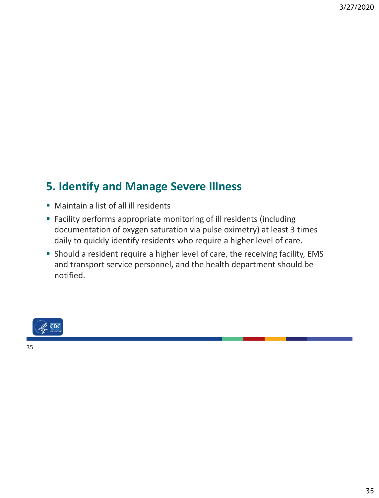### **5. Identify and Manage Severe Illness**

- Maintain a list of all ill residents
- Facility performs appropriate monitoring of ill residents (including documentation of oxygen saturation via pulse oximetry) at least 3 times daily to quickly identify residents who require a higher level of care.
- Should a resident require a higher level of care, the receiving facility, EMS and transport service personnel, and the health department should be notified.



35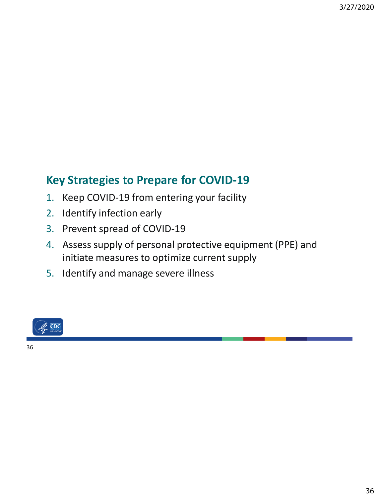#### **Key Strategies to Prepare for COVID-19**

- 1. Keep COVID-19 from entering your facility
- 2. Identify infection early
- 3. Prevent spread of COVID-19
- 4. Assess supply of personal protective equipment (PPE) and initiate measures to optimize current supply
- 5. Identify and manage severe illness



36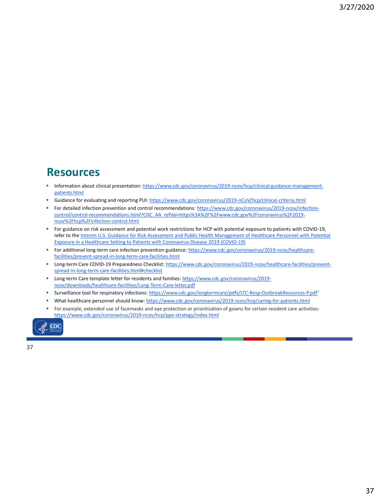#### **Resources**

- [Information about clinical presentation: https://www.cdc.gov/coronavirus/2019-ncov/hcp/clinical-guidance-management](https://www.cdc.gov/coronavirus/2019-ncov/hcp/clinical-guidance-management-patients.html)patients.html
- Guidance for evaluating and reporting PUI:<https://www.cdc.gov/coronavirus/2019-nCoV/hcp/clinical-criteria.html>
- For detailed infection prevention and control recommendations: https://www.cdc.gov/coronavirus/2019-ncov/infection[control/control-recommendations.html?CDC\\_AA\\_refVal=https%3A%2F%2Fwww.cdc.gov%2Fcoronavirus%2F2019](https://www.cdc.gov/coronavirus/2019-ncov/infection-control/control-recommendations.html?CDC_AA_refVal=https%3A%2F%2Fwww.cdc.gov%2Fcoronavirus%2F2019-ncov%2Fhcp%2Finfection-control.html) ncov%2Fhcp%2Finfection-control.html
- For guidance on risk assessment and potential work restrictions for HCP with potential exposure to patients with COVID-19, refer to the Interim U.S. Guidance for Risk Assessment and Public Health Management of Healthcare Personnel with Potential Exposure in a Healthcare Setting to Patients with Coronavirus Disease 2019 (COVID-19)
- [For additional long-term care infection prevention guidance: https://www.cdc.gov/coronavirus/2019-ncov/healthcare](https://www.cdc.gov/coronavirus/2019-ncov/healthcare-facilities/prevent-spread-in-long-term-care-facilities.html)facilities/prevent-spread-in-long-term-care-facilities.html
- [Long-term Care COVID-19 Preparedness Checklist: https://www.cdc.gov/coronavirus/2019-ncov/healthcare-facilities/prevent](https://www.cdc.gov/coronavirus/2019-ncov/healthcare-facilities/prevent-spread-in-long-term-care-facilities.html#checklist)spread-in-long-term-care-facilities.html#checklist
- [Long-term Care template letter for residents and families: https://www.cdc.gov/coronavirus/2019](https://www.cdc.gov/coronavirus/2019-ncov/downloads/healthcare-facilities/Long-Term-Care-letter.pdf) ncov/downloads/healthcare-facilities/Long-Term-Care-letter.pdf
- Surveillance tool for respiratory infections: <https://www.cdc.gov/longtermcare/pdfs/LTC-Resp-OutbreakResources-P.pdf>'
- What healthcare personnel should know:<https://www.cdc.gov/coronavirus/2019-ncov/hcp/caring-for-patients.html>
- For example, extended use of facemasks and eye protection or prioritization of gowns for certain resident care activities: <https://www.cdc.gov/coronavirus/2019-ncov/hcp/ppe-strategy/index.html>